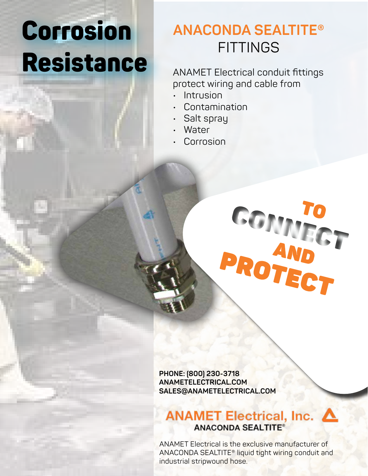# Corrosion Resistance

## **ANACONDA SEALTITE® FITTINGS**

ANAMET Electrical conduit fittings protect wiring and cable from

- Intrusion
- Contamination
- Salt spray
- Water
- Corrosion



**PHONE: (800) 230-3718 ANAMETELECTRICAL.COM SALES@ANAMETELECTRICAL.COM**

## ANAMET Electrical, Inc. △ **ANACONDA SEALTITE®**

ANAMET Electrical is the exclusive manufacturer of ANACONDA SEALTITE® liquid tight wiring conduit and industrial stripwound hose.